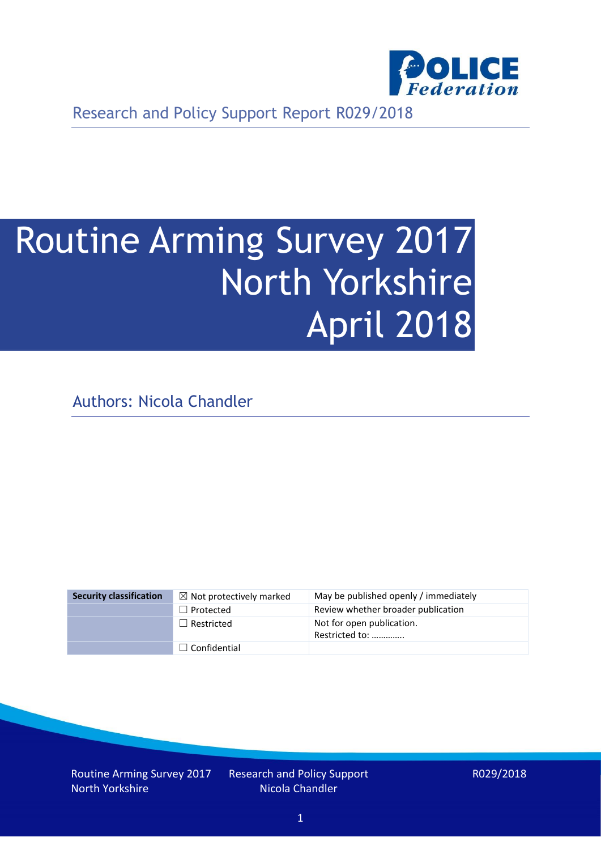

Research and Policy Support Report R029/2018

# Routine Arming Survey 2017 North Yorkshire April 2018

Authors: Nicola Chandler

| <b>Security classification</b> | $\boxtimes$ Not protectively marked | May be published openly / immediately       |
|--------------------------------|-------------------------------------|---------------------------------------------|
|                                | $\Box$ Protected                    | Review whether broader publication          |
|                                | $\Box$ Restricted                   | Not for open publication.<br>Restricted to: |
|                                | $\Box$ Confidential                 |                                             |

Routine Arming Survey 2017 North Yorkshire

Research and Policy Support Nicola Chandler

R029/2018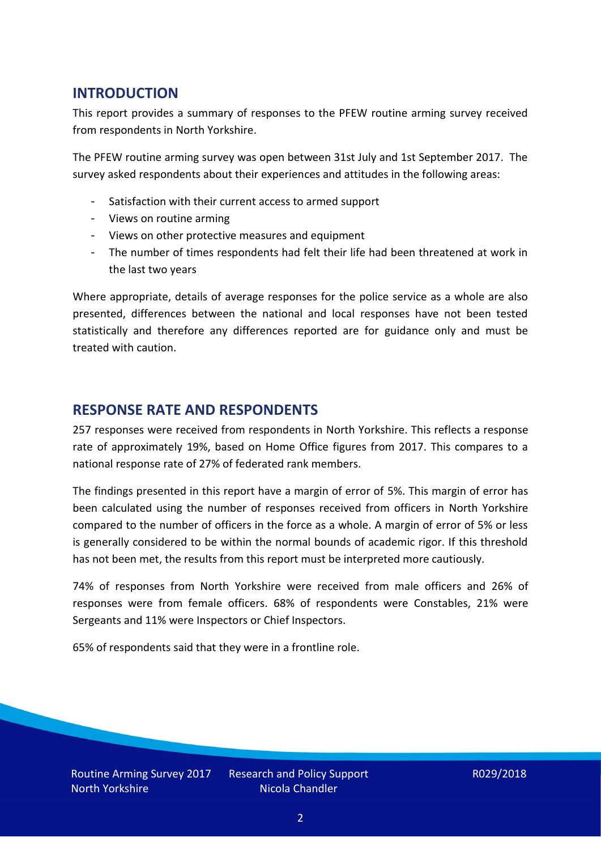## **INTRODUCTION**

This report provides a summary of responses to the PFEW routine arming survey received from respondents in North Yorkshire.

The PFEW routine arming survey was open between 31st July and 1st September 2017. The survey asked respondents about their experiences and attitudes in the following areas:

- Satisfaction with their current access to armed support
- Views on routine arming
- Views on other protective measures and equipment
- The number of times respondents had felt their life had been threatened at work in the last two years

Where appropriate, details of average responses for the police service as a whole are also presented, differences between the national and local responses have not been tested statistically and therefore any differences reported are for guidance only and must be treated with caution.

#### **RESPONSE RATE AND RESPONDENTS**

257 responses were received from respondents in North Yorkshire. This reflects a response rate of approximately 19%, based on Home Office figures from 2017. This compares to a national response rate of 27% of federated rank members.

The findings presented in this report have a margin of error of 5%. This margin of error has been calculated using the number of responses received from officers in North Yorkshire compared to the number of officers in the force as a whole. A margin of error of 5% or less is generally considered to be within the normal bounds of academic rigor. If this threshold has not been met, the results from this report must be interpreted more cautiously.

74% of responses from North Yorkshire were received from male officers and 26% of responses were from female officers. 68% of respondents were Constables, 21% were Sergeants and 11% were Inspectors or Chief Inspectors.

65% of respondents said that they were in a frontline role.

Routine Arming Survey 2017 North Yorkshire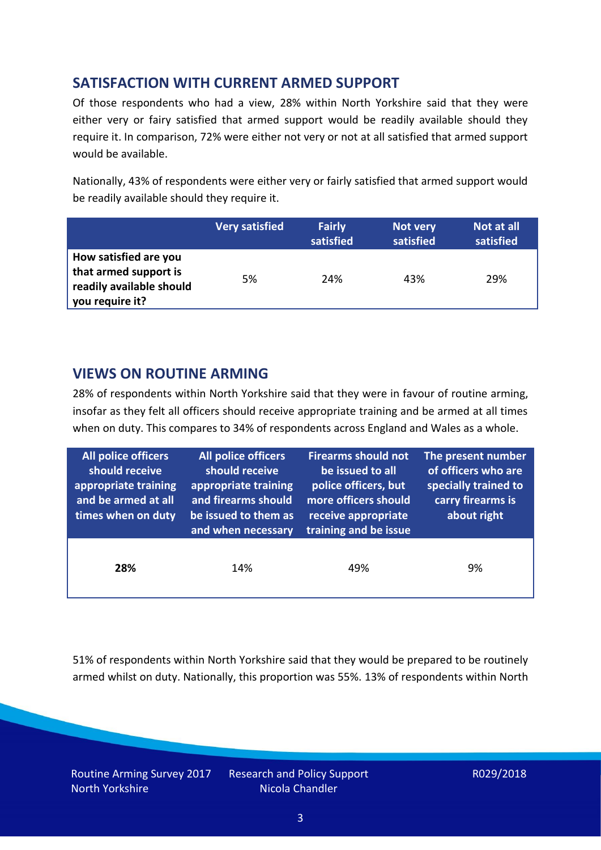## **SATISFACTION WITH CURRENT ARMED SUPPORT**

Of those respondents who had a view, 28% within North Yorkshire said that they were either very or fairy satisfied that armed support would be readily available should they require it. In comparison, 72% were either not very or not at all satisfied that armed support would be available.

Nationally, 43% of respondents were either very or fairly satisfied that armed support would be readily available should they require it.

|                                                                                               | <b>Very satisfied</b> | <b>Fairly</b><br>satisfied | Not very<br>satisfied | Not at all<br>satisfied |
|-----------------------------------------------------------------------------------------------|-----------------------|----------------------------|-----------------------|-------------------------|
| How satisfied are you<br>that armed support is<br>readily available should<br>you require it? | 5%                    | 24%                        | 43%                   | 29%                     |

## **VIEWS ON ROUTINE ARMING**

28% of respondents within North Yorkshire said that they were in favour of routine arming, insofar as they felt all officers should receive appropriate training and be armed at all times when on duty. This compares to 34% of respondents across England and Wales as a whole.

| All police officers<br>should receive<br>appropriate training<br>and be armed at all<br>times when on duty | All police officers<br>should receive<br>appropriate training<br>and firearms should<br>be issued to them as<br>and when necessary | <b>Firearms should not</b><br>be issued to all<br>police officers, but<br>more officers should<br>receive appropriate<br>training and be issue | The present number<br>of officers who are<br>specially trained to<br>carry firearms is<br>about right |  |
|------------------------------------------------------------------------------------------------------------|------------------------------------------------------------------------------------------------------------------------------------|------------------------------------------------------------------------------------------------------------------------------------------------|-------------------------------------------------------------------------------------------------------|--|
| 28%                                                                                                        | 14%                                                                                                                                | 49%                                                                                                                                            | 9%                                                                                                    |  |

51% of respondents within North Yorkshire said that they would be prepared to be routinely armed whilst on duty. Nationally, this proportion was 55%. 13% of respondents within North

Routine Arming Survey 2017 North Yorkshire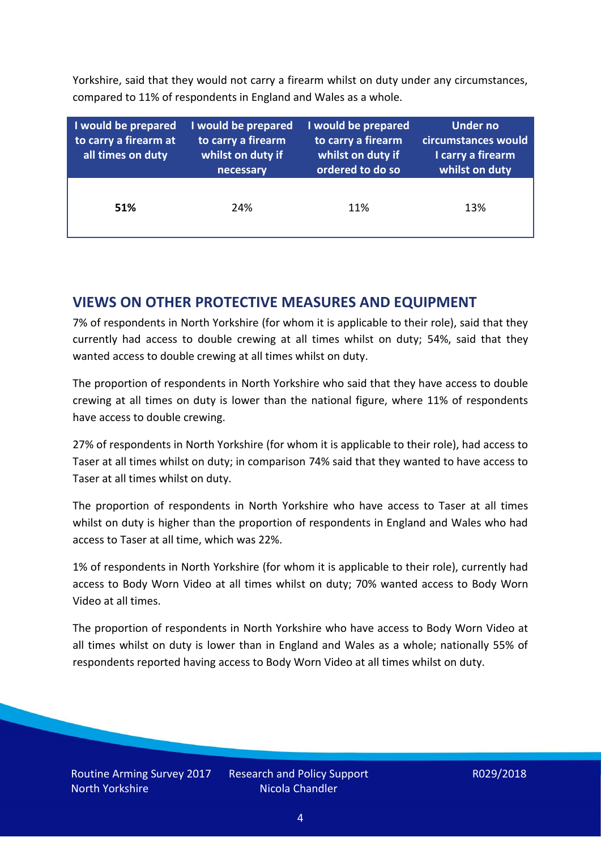Yorkshire, said that they would not carry a firearm whilst on duty under any circumstances, compared to 11% of respondents in England and Wales as a whole.

| I would be prepared<br>to carry a firearm at<br>all times on duty | I would be prepared<br>to carry a firearm<br>whilst on duty if<br>necessary | I would be prepared<br>to carry a firearm<br>whilst on duty if<br>ordered to do so | Under no<br>circumstances would<br>I carry a firearm<br>whilst on duty |
|-------------------------------------------------------------------|-----------------------------------------------------------------------------|------------------------------------------------------------------------------------|------------------------------------------------------------------------|
| 51%                                                               | 24%                                                                         | 11%                                                                                | 13%                                                                    |

### **VIEWS ON OTHER PROTECTIVE MEASURES AND EQUIPMENT**

7% of respondents in North Yorkshire (for whom it is applicable to their role), said that they currently had access to double crewing at all times whilst on duty; 54%, said that they wanted access to double crewing at all times whilst on duty.

The proportion of respondents in North Yorkshire who said that they have access to double crewing at all times on duty is lower than the national figure, where 11% of respondents have access to double crewing.

27% of respondents in North Yorkshire (for whom it is applicable to their role), had access to Taser at all times whilst on duty; in comparison 74% said that they wanted to have access to Taser at all times whilst on duty.

The proportion of respondents in North Yorkshire who have access to Taser at all times whilst on duty is higher than the proportion of respondents in England and Wales who had access to Taser at all time, which was 22%.

1% of respondents in North Yorkshire (for whom it is applicable to their role), currently had access to Body Worn Video at all times whilst on duty; 70% wanted access to Body Worn Video at all times.

The proportion of respondents in North Yorkshire who have access to Body Worn Video at all times whilst on duty is lower than in England and Wales as a whole; nationally 55% of respondents reported having access to Body Worn Video at all times whilst on duty.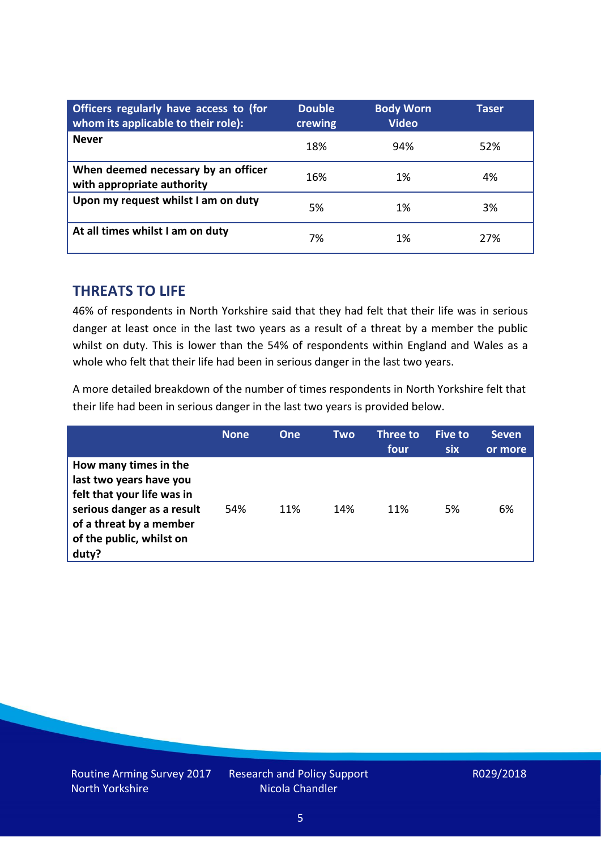| Officers regularly have access to (for<br>whom its applicable to their role): | <b>Double</b><br>crewing | <b>Body Worn</b><br><b>Video</b> | Taser |
|-------------------------------------------------------------------------------|--------------------------|----------------------------------|-------|
| <b>Never</b>                                                                  | 18%                      | 94%                              | 52%   |
| When deemed necessary by an officer<br>with appropriate authority             | 16%                      | 1%                               | 4%    |
| Upon my request whilst I am on duty                                           | 5%                       | 1%                               | 3%    |
| At all times whilst I am on duty                                              | 7%                       | 1%                               | 27%   |

#### **THREATS TO LIFE**

46% of respondents in North Yorkshire said that they had felt that their life was in serious danger at least once in the last two years as a result of a threat by a member the public whilst on duty. This is lower than the 54% of respondents within England and Wales as a whole who felt that their life had been in serious danger in the last two years.

A more detailed breakdown of the number of times respondents in North Yorkshire felt that their life had been in serious danger in the last two years is provided below.

|                                                                                                                                                                              | <b>None</b> | One | Two | Three to<br>four | Five to<br><b>six</b> | <b>Seven</b><br>or more |
|------------------------------------------------------------------------------------------------------------------------------------------------------------------------------|-------------|-----|-----|------------------|-----------------------|-------------------------|
| How many times in the<br>last two years have you<br>felt that your life was in<br>serious danger as a result<br>of a threat by a member<br>of the public, whilst on<br>duty? | 54%         | 11% | 14% | 11%              | 5%                    | 6%                      |

Routine Arming Survey 2017 North Yorkshire